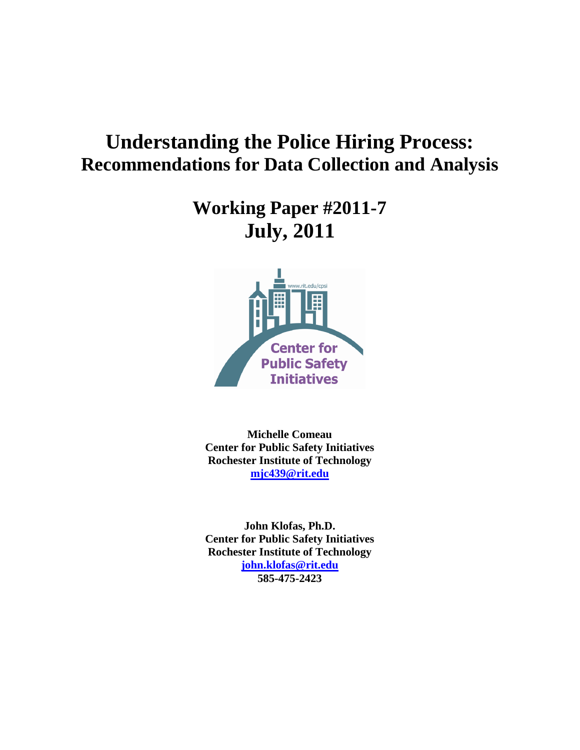# **Understanding the Police Hiring Process: Recommendations for Data Collection and Analysis**

## **Working Paper #2011-7 July, 2011**



**Michelle Comeau Center for Public Safety Initiatives Rochester Institute of Technology [mjc439@rit.edu](mailto:mjc439@rit.edu)**

**John Klofas, Ph.D. Center for Public Safety Initiatives Rochester Institute of Technology [john.klofas@rit.edu](mailto:john.klofas@rit.edu) 585-475-2423**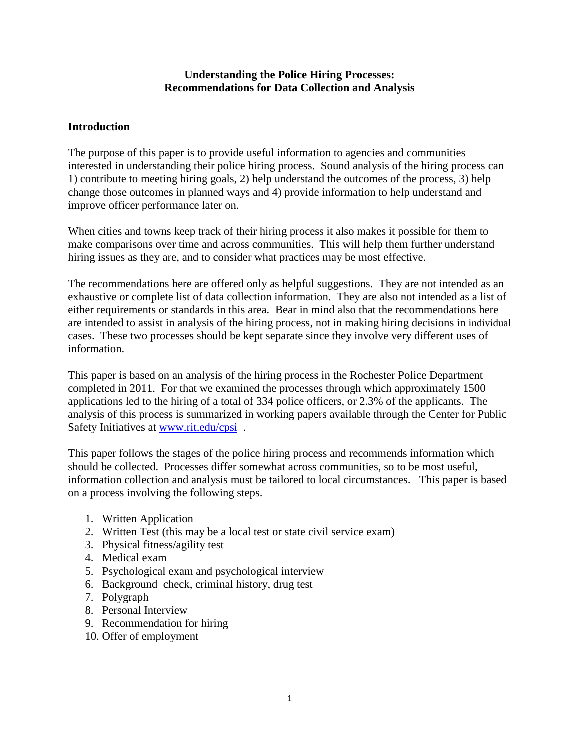#### **Understanding the Police Hiring Processes: Recommendations for Data Collection and Analysis**

#### **Introduction**

The purpose of this paper is to provide useful information to agencies and communities interested in understanding their police hiring process. Sound analysis of the hiring process can 1) contribute to meeting hiring goals, 2) help understand the outcomes of the process, 3) help change those outcomes in planned ways and 4) provide information to help understand and improve officer performance later on.

When cities and towns keep track of their hiring process it also makes it possible for them to make comparisons over time and across communities. This will help them further understand hiring issues as they are, and to consider what practices may be most effective.

The recommendations here are offered only as helpful suggestions. They are not intended as an exhaustive or complete list of data collection information. They are also not intended as a list of either requirements or standards in this area. Bear in mind also that the recommendations here are intended to assist in analysis of the hiring process, not in making hiring decisions in individual cases. These two processes should be kept separate since they involve very different uses of information.

This paper is based on an analysis of the hiring process in the Rochester Police Department completed in 2011. For that we examined the processes through which approximately 1500 applications led to the hiring of a total of 334 police officers, or 2.3% of the applicants. The analysis of this process is summarized in working papers available through the Center for Public Safety Initiatives at [www.rit.edu/cpsi](http://www.rit.edu/cpsi) .

This paper follows the stages of the police hiring process and recommends information which should be collected. Processes differ somewhat across communities, so to be most useful, information collection and analysis must be tailored to local circumstances. This paper is based on a process involving the following steps.

- 1. Written Application
- 2. Written Test (this may be a local test or state civil service exam)
- 3. Physical fitness/agility test
- 4. Medical exam
- 5. Psychological exam and psychological interview
- 6. Background check, criminal history, drug test
- 7. Polygraph
- 8. Personal Interview
- 9. Recommendation for hiring
- 10. Offer of employment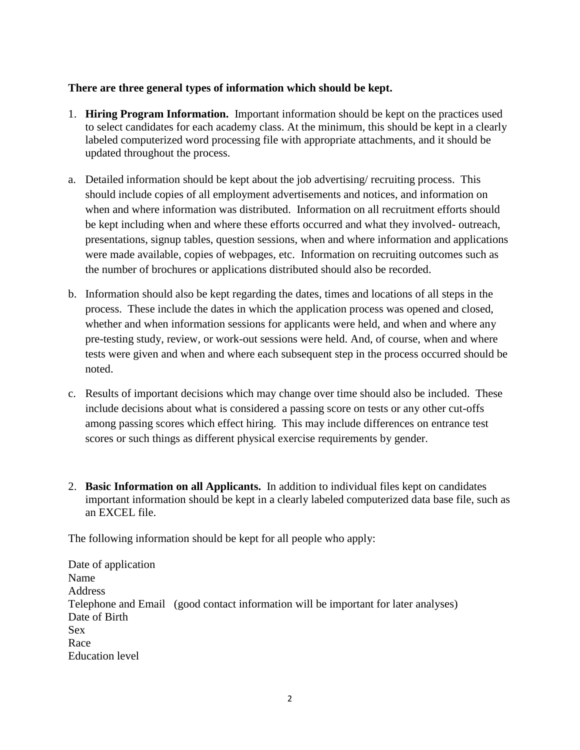#### **There are three general types of information which should be kept.**

- 1. **Hiring Program Information.** Important information should be kept on the practices used to select candidates for each academy class. At the minimum, this should be kept in a clearly labeled computerized word processing file with appropriate attachments, and it should be updated throughout the process.
- a. Detailed information should be kept about the job advertising/ recruiting process. This should include copies of all employment advertisements and notices, and information on when and where information was distributed. Information on all recruitment efforts should be kept including when and where these efforts occurred and what they involved- outreach, presentations, signup tables, question sessions, when and where information and applications were made available, copies of webpages, etc. Information on recruiting outcomes such as the number of brochures or applications distributed should also be recorded.
- b. Information should also be kept regarding the dates, times and locations of all steps in the process. These include the dates in which the application process was opened and closed, whether and when information sessions for applicants were held, and when and where any pre-testing study, review, or work-out sessions were held. And, of course, when and where tests were given and when and where each subsequent step in the process occurred should be noted.
- c. Results of important decisions which may change over time should also be included. These include decisions about what is considered a passing score on tests or any other cut-offs among passing scores which effect hiring. This may include differences on entrance test scores or such things as different physical exercise requirements by gender.
- 2. **Basic Information on all Applicants.** In addition to individual files kept on candidates important information should be kept in a clearly labeled computerized data base file, such as an EXCEL file.

The following information should be kept for all people who apply:

Date of application Name Address Telephone and Email (good contact information will be important for later analyses) Date of Birth Sex Race Education level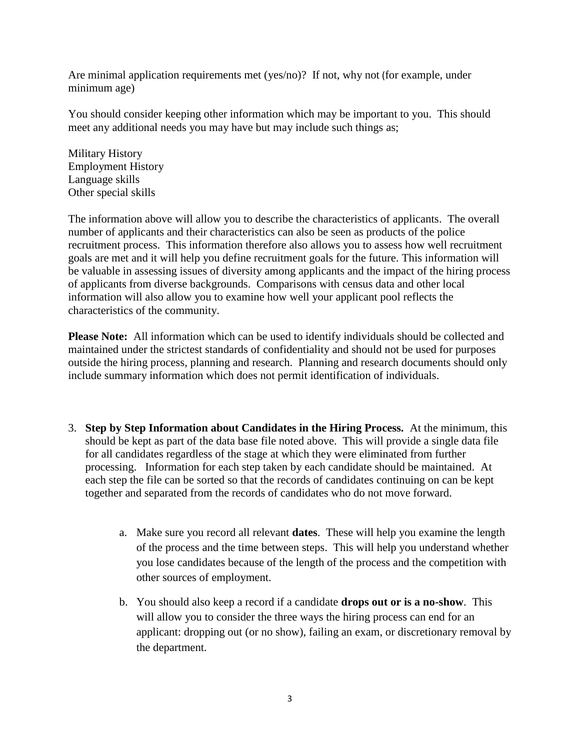Are minimal application requirements met (yes/no)? If not, why not (for example, under minimum age)

You should consider keeping other information which may be important to you. This should meet any additional needs you may have but may include such things as;

Military History Employment History Language skills Other special skills

The information above will allow you to describe the characteristics of applicants. The overall number of applicants and their characteristics can also be seen as products of the police recruitment process. This information therefore also allows you to assess how well recruitment goals are met and it will help you define recruitment goals for the future. This information will be valuable in assessing issues of diversity among applicants and the impact of the hiring process of applicants from diverse backgrounds. Comparisons with census data and other local information will also allow you to examine how well your applicant pool reflects the characteristics of the community.

**Please Note:** All information which can be used to identify individuals should be collected and maintained under the strictest standards of confidentiality and should not be used for purposes outside the hiring process, planning and research. Planning and research documents should only include summary information which does not permit identification of individuals.

- 3. **Step by Step Information about Candidates in the Hiring Process.** At the minimum, this should be kept as part of the data base file noted above. This will provide a single data file for all candidates regardless of the stage at which they were eliminated from further processing. Information for each step taken by each candidate should be maintained. At each step the file can be sorted so that the records of candidates continuing on can be kept together and separated from the records of candidates who do not move forward.
	- a. Make sure you record all relevant **dates**. These will help you examine the length of the process and the time between steps. This will help you understand whether you lose candidates because of the length of the process and the competition with other sources of employment.
	- b. You should also keep a record if a candidate **drops out or is a no-show**. This will allow you to consider the three ways the hiring process can end for an applicant: dropping out (or no show), failing an exam, or discretionary removal by the department.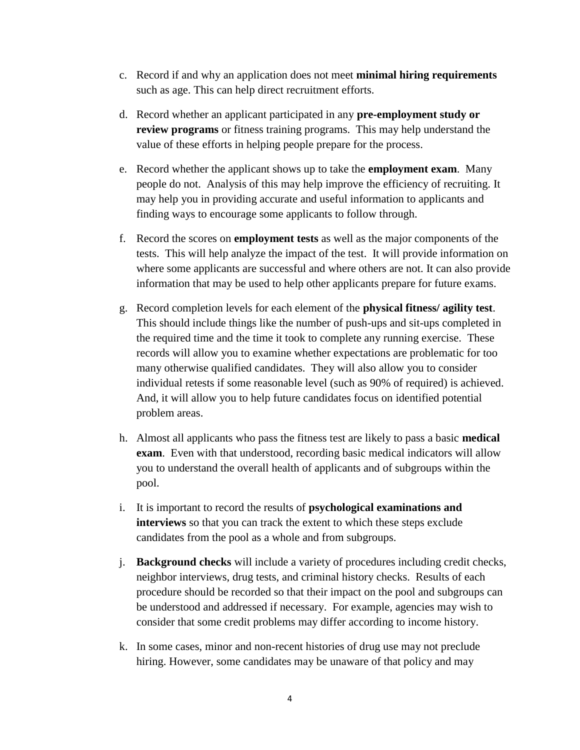- c. Record if and why an application does not meet **minimal hiring requirements** such as age. This can help direct recruitment efforts.
- d. Record whether an applicant participated in any **pre-employment study or review programs** or fitness training programs. This may help understand the value of these efforts in helping people prepare for the process.
- e. Record whether the applicant shows up to take the **employment exam**. Many people do not. Analysis of this may help improve the efficiency of recruiting. It may help you in providing accurate and useful information to applicants and finding ways to encourage some applicants to follow through.
- f. Record the scores on **employment tests** as well as the major components of the tests. This will help analyze the impact of the test. It will provide information on where some applicants are successful and where others are not. It can also provide information that may be used to help other applicants prepare for future exams.
- g. Record completion levels for each element of the **physical fitness/ agility test**. This should include things like the number of push-ups and sit-ups completed in the required time and the time it took to complete any running exercise. These records will allow you to examine whether expectations are problematic for too many otherwise qualified candidates. They will also allow you to consider individual retests if some reasonable level (such as 90% of required) is achieved. And, it will allow you to help future candidates focus on identified potential problem areas.
- h. Almost all applicants who pass the fitness test are likely to pass a basic **medical exam**. Even with that understood, recording basic medical indicators will allow you to understand the overall health of applicants and of subgroups within the pool.
- i. It is important to record the results of **psychological examinations and interviews** so that you can track the extent to which these steps exclude candidates from the pool as a whole and from subgroups.
- j. **Background checks** will include a variety of procedures including credit checks, neighbor interviews, drug tests, and criminal history checks. Results of each procedure should be recorded so that their impact on the pool and subgroups can be understood and addressed if necessary. For example, agencies may wish to consider that some credit problems may differ according to income history.
- k. In some cases, minor and non-recent histories of drug use may not preclude hiring. However, some candidates may be unaware of that policy and may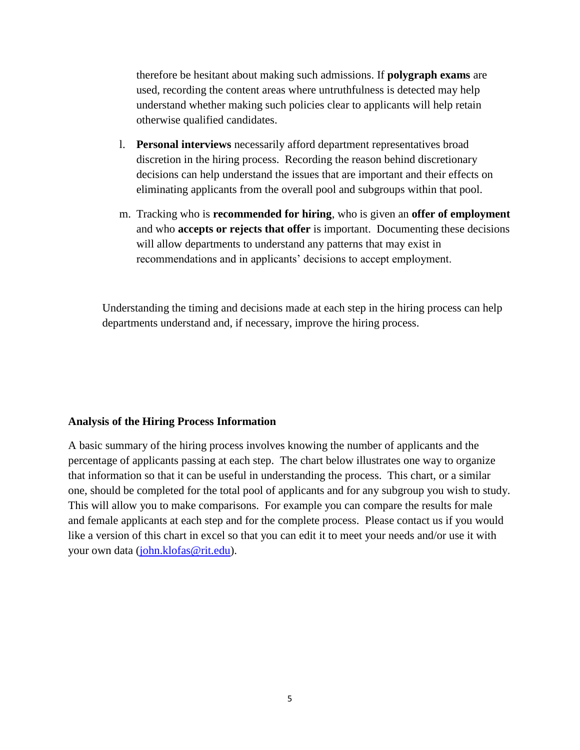therefore be hesitant about making such admissions. If **polygraph exams** are used, recording the content areas where untruthfulness is detected may help understand whether making such policies clear to applicants will help retain otherwise qualified candidates.

- l. **Personal interviews** necessarily afford department representatives broad discretion in the hiring process. Recording the reason behind discretionary decisions can help understand the issues that are important and their effects on eliminating applicants from the overall pool and subgroups within that pool.
- m. Tracking who is **recommended for hiring**, who is given an **offer of employment** and who **accepts or rejects that offer** is important. Documenting these decisions will allow departments to understand any patterns that may exist in recommendations and in applicants' decisions to accept employment.

Understanding the timing and decisions made at each step in the hiring process can help departments understand and, if necessary, improve the hiring process.

#### **Analysis of the Hiring Process Information**

A basic summary of the hiring process involves knowing the number of applicants and the percentage of applicants passing at each step. The chart below illustrates one way to organize that information so that it can be useful in understanding the process. This chart, or a similar one, should be completed for the total pool of applicants and for any subgroup you wish to study. This will allow you to make comparisons. For example you can compare the results for male and female applicants at each step and for the complete process. Please contact us if you would like a version of this chart in excel so that you can edit it to meet your needs and/or use it with your own data [\(john.klofas@rit.edu\)](mailto:john.klofas@rit.edu).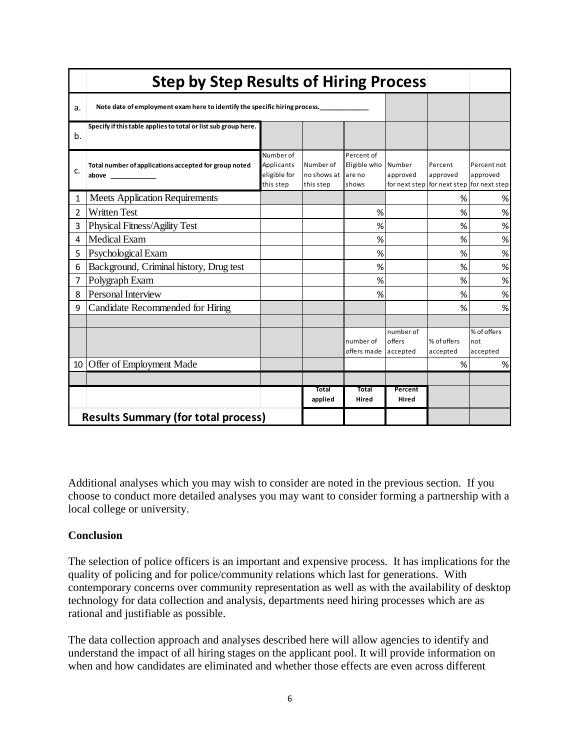|    | <b>Step by Step Results of Hiring Process</b>                              |                                                      |                                       |                                               |                                     |                                      |                                          |
|----|----------------------------------------------------------------------------|------------------------------------------------------|---------------------------------------|-----------------------------------------------|-------------------------------------|--------------------------------------|------------------------------------------|
| a. | Note date of employment exam here to identify the specific hiring process. |                                                      |                                       |                                               |                                     |                                      |                                          |
| b. | Specify if this table applies to total or list sub group here.             |                                                      |                                       |                                               |                                     |                                      |                                          |
| c. | Total number of applications accepted for group noted<br>above             | Number of<br>Applicants<br>eligible for<br>this step | Number of<br>no shows at<br>this step | Percent of<br>Eligible who<br>are no<br>shows | Number<br>approved<br>for next step | Percent<br>approved<br>for next step | Percent not<br>approved<br>for next step |
| 1  | <b>Meets Application Requirements</b>                                      |                                                      |                                       |                                               |                                     | %                                    | $\%$                                     |
| 2  | <b>Written Test</b>                                                        |                                                      |                                       | %                                             |                                     | %                                    | $\%$                                     |
| 3  | Physical Fitness/Agility Test                                              |                                                      |                                       | %                                             |                                     | %                                    | $\%$                                     |
| 4  | Medical Exam                                                               |                                                      |                                       | %                                             |                                     | %                                    | $\%$                                     |
| 5  | Psychological Exam                                                         |                                                      |                                       | %                                             |                                     | %                                    | %                                        |
| 6  | Background, Criminal history, Drug test                                    |                                                      |                                       | %                                             |                                     | %                                    | $\%$                                     |
| 7  | Polygraph Exam                                                             |                                                      |                                       | %                                             |                                     | %                                    | $\%$                                     |
| 8  | Personal Interview                                                         |                                                      |                                       | %                                             |                                     | %                                    | $\%$                                     |
| 9  | Candidate Recommended for Hiring                                           |                                                      |                                       |                                               |                                     | %                                    | $\%$                                     |
|    |                                                                            |                                                      |                                       |                                               |                                     |                                      |                                          |
|    |                                                                            |                                                      |                                       | number of<br>offers made                      | number of<br>offers<br>accepted     | % of offers<br>accepted              | % of offers<br>not<br>accepted           |
|    | 10 Offer of Employment Made                                                |                                                      |                                       |                                               |                                     | %                                    | $\%$                                     |
|    |                                                                            |                                                      |                                       |                                               |                                     |                                      |                                          |
|    |                                                                            |                                                      | Total<br>applied                      | Total<br>Hired                                | Percent<br>Hired                    |                                      |                                          |
|    | <b>Results Summary (for total process)</b>                                 |                                                      |                                       |                                               |                                     |                                      |                                          |

Additional analyses which you may wish to consider are noted in the previous section. If you choose to conduct more detailed analyses you may want to consider forming a partnership with a local college or university.

### **Conclusion**

The selection of police officers is an important and expensive process. It has implications for the quality of policing and for police/community relations which last for generations. With contemporary concerns over community representation as well as with the availability of desktop technology for data collection and analysis, departments need hiring processes which are as rational and justifiable as possible.

The data collection approach and analyses described here will allow agencies to identify and understand the impact of all hiring stages on the applicant pool. It will provide information on when and how candidates are eliminated and whether those effects are even across different